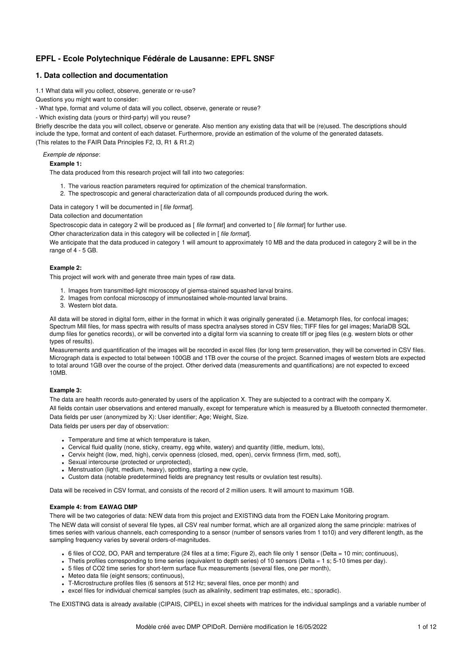# **EPFL - Ecole Polytechnique Fédérale de Lausanne: EPFL SNSF**

# **1. Data collection and documentation**

1.1 What data will you collect, observe, generate or re-use?

Questions you might want to consider:

- What type, format and volume of data will you collect, observe, generate or reuse?

- Which existing data (yours or third-party) will you reuse?

Briefly describe the data you will collect, observe or generate. Also mention any existing data that will be (re)used. The descriptions should include the type, format and content of each dataset. Furthermore, provide an estimation of the volume of the generated datasets. (This relates to the FAIR Data Principles F2, I3, R1 & R1.2)

*Exemple de réponse*:

### **Example 1:**

The data produced from this research project will fall into two categories:

- 1. The various reaction parameters required for optimization of the chemical transformation.
- 2. The spectroscopic and general characterization data of all compounds produced during the work.

Data in category 1 will be documented in [ *file format*].

Data collection and documentation

Spectroscopic data in category 2 will be produced as [ *file format*] and converted to [ *file format*] for further use.

Other characterization data in this category will be collected in [ *file format*].

We anticipate that the data produced in category 1 will amount to approximately 10 MB and the data produced in category 2 will be in the range of 4 - 5 GB.

# **Example 2:**

This project will work with and generate three main types of raw data.

- 1. Images from transmitted-light microscopy of giemsa-stained squashed larval brains.
- 2. Images from confocal microscopy of immunostained whole-mounted larval brains.
- 3. Western blot data.

All data will be stored in digital form, either in the format in which it was originally generated (i.e. Metamorph files, for confocal images; Spectrum Mill files, for mass spectra with results of mass spectra analyses stored in CSV files; TIFF files for gel images; MariaDB SQL dump files for genetics records), or will be converted into a digital form via scanning to create tiff or jpeg files (e.g. western blots or other types of results).

Measurements and quantification of the images will be recorded in excel files (for long term preservation, they will be converted in CSV files. Micrograph data is expected to total between 100GB and 1TB over the course of the project. Scanned images of western blots are expected to total around 1GB over the course of the project. Other derived data (measurements and quantifications) are not expected to exceed 10MB.

### **Example 3:**

The data are health records auto-generated by users of the application X. They are subjected to a contract with the company X.

All fields contain user observations and entered manually, except for temperature which is measured by a Bluetooth connected thermometer. Data fields per user (anonymized by X): User identifier; Age; Weight, Size.

Data fields per users per day of observation:

- Temperature and time at which temperature is taken,
- Cervical fluid quality (none, sticky, creamy, egg white, watery) and quantity (little, medium, lots),
- Cervix height (low, med, high), cervix openness (closed, med, open), cervix firmness (firm, med, soft),
- Sexual intercourse (protected or unprotected),
- Menstruation (light, medium, heavy), spotting, starting a new cycle,
- Custom data (notable predetermined fields are pregnancy test results or ovulation test results).

Data will be received in CSV format, and consists of the record of 2 million users. It will amount to maximum 1GB.

### **Example 4: from EAWAG DMP**

There will be two categories of data: NEW data from this project and EXISTING data from the FOEN Lake Monitoring program. The NEW data will consist of several file types, all CSV real number format, which are all organized along the same principle: matrixes of times series with various channels, each corresponding to a sensor (number of sensors varies from 1 to10) and very different length, as the sampling frequency varies by several orders-of-magnitudes.

- 6 files of CO2, DO, PAR and temperature (24 files at a time; Figure 2), each file only 1 sensor (Delta = 10 min; continuous),
- Thetis profiles corresponding to time series (equivalent to depth series) of 10 sensors (Delta = 1 s; 5-10 times per day).
- 5 files of CO2 time series for short-term surface flux measurements (several files, one per month),
- Meteo data file (eight sensors; continuous),
- T-Microstructure profiles files (6 sensors at 512 Hz; several files, once per month) and
- excel files for individual chemical samples (such as alkalinity, sediment trap estimates, etc.; sporadic).

The EXISTING data is already available (CIPAIS, CIPEL) in excel sheets with matrices for the individual samplings and a variable number of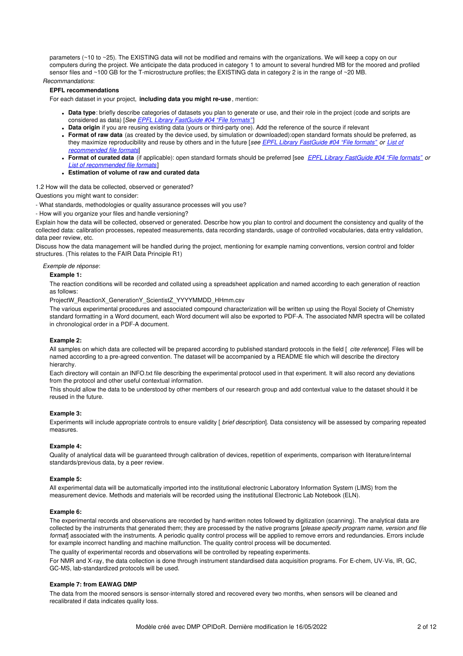parameters (~10 to ~25). The EXISTING data will not be modified and remains with the organizations. We will keep a copy on our computers during the project. We anticipate the data produced in category 1 to amount to several hundred MB for the moored and profiled sensor files and ~100 GB for the T-microstructure profiles; the EXISTING data in category 2 is in the range of ~20 MB.

*Recommandations*:

# **EPFL recommendations**

For each dataset in your project, **including data you might re-use**, mention:

- **Data type**: briefly describe categories of datasets you plan to generate or use, and their role in the project (code and scripts are considered as data) [*See EPFL Library [FastGuide](https://infoscience.epfl.ch/record/265349?&ln=en) #04 "File formats"* ]
- **Data origin** if you are reusing existing data (yours or third-party one). Add the reference of the source if relevant
- **Format of raw data** (as created by the device used, by simulation or downloaded):open standard formats should be preferred, as they maximize [reproducibility](https://researchdata.epfl.ch/wp-content/uploads/2018/05/Recommended_DataFormats_-2018_03_05_Final.pdf) and reuse by others and in the future [*see EPFL Library [FastGuide](https://infoscience.epfl.ch/record/265349?&ln=en) #04 "File formats" or List of recommended file formats*]
- **Format of curated data** (if applicable): open standard formats should be preferred [see *EPFL Library [FastGuide](https://infoscience.epfl.ch/record/265349?&ln=en) #04 "File formats" or List of [recommended](https://researchdata.epfl.ch/wp-content/uploads/2018/05/Recommended_DataFormats_-2018_03_05_Final.pdf) file formats* ]
- **Estimation of volume of raw and curated data**

1.2 How will the data be collected, observed or generated?

Questions you might want to consider:

- What standards, methodologies or quality assurance processes will you use?

- How will you organize your files and handle versioning?

Explain how the data will be collected, observed or generated. Describe how you plan to control and document the consistency and quality of the collected data: calibration processes, repeated measurements, data recording standards, usage of controlled vocabularies, data entry validation, data peer review, etc.

Discuss how the data management will be handled during the project, mentioning for example naming conventions, version control and folder structures. (This relates to the FAIR Data Principle R1)

*Exemple de réponse*:

#### **Example 1:**

The reaction conditions will be recorded and collated using a spreadsheet application and named according to each generation of reaction as follows:

ProjectW\_ReactionX\_GenerationY\_ScientistZ\_YYYYMMDD\_HHmm.csv

The various experimental procedures and associated compound characterization will be written up using the Royal Society of Chemistry standard formatting in a Word document, each Word document will also be exported to PDF-A. The associated NMR spectra will be collated in chronological order in a PDF-A document.

#### **Example 2:**

All samples on which data are collected will be prepared according to published standard protocols in the field [ *cite reference*]. Files will be named according to a pre-agreed convention. The dataset will be accompanied by a README file which will describe the directory hierarchy.

Each directory will contain an INFO.txt file describing the experimental protocol used in that experiment. It will also record any deviations from the protocol and other useful contextual information.

This should allow the data to be understood by other members of our research group and add contextual value to the dataset should it be reused in the future.

# **Example 3:**

Experiments will include appropriate controls to ensure validity [ *brief description*]. Data consistency will be assessed by comparing repeated measures.

### **Example 4:**

Quality of analytical data will be guaranteed through calibration of devices, repetition of experiments, comparison with literature/internal standards/previous data, by a peer review.

#### **Example 5:**

All experimental data will be automatically imported into the institutional electronic Laboratory Information System (LIMS) from the measurement device. Methods and materials will be recorded using the institutional Electronic Lab Notebook (ELN).

### **Example 6:**

The experimental records and observations are recorded by hand-written notes followed by digitization (scanning). The analytical data are collected by the instruments that generated them; they are processed by the native programs [*please specify program name, version and file format*] associated with the instruments. A periodic quality control process will be applied to remove errors and redundancies. Errors include for example incorrect handling and machine malfunction. The quality control process will be documented.

The quality of experimental records and observations will be controlled by repeating experiments.

For NMR and X-ray, the data collection is done through instrument standardised data acquisition programs. For E-chem, UV-Vis, IR, GC, GC-MS, lab-standardized protocols will be used.

#### **Example 7: from EAWAG DMP**

The data from the moored sensors is sensor-internally stored and recovered every two months, when sensors will be cleaned and recalibrated if data indicates quality loss.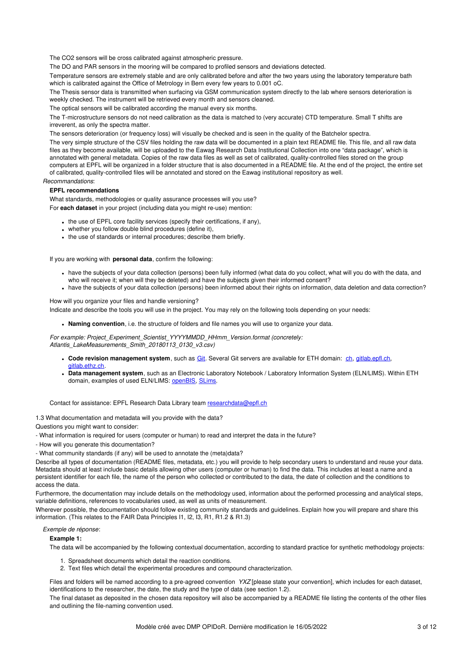The CO2 sensors will be cross calibrated against atmospheric pressure.

The DO and PAR sensors in the mooring will be compared to profiled sensors and deviations detected.

Temperature sensors are extremely stable and are only calibrated before and after the two years using the laboratory temperature bath which is calibrated against the Office of Metrology in Bern every few years to 0.001 oC.

The Thesis sensor data is transmitted when surfacing via GSM communication system directly to the lab where sensors deterioration is weekly checked. The instrument will be retrieved every month and sensors cleaned.

The optical sensors will be calibrated according the manual every six months.

The T-microstructure sensors do not need calibration as the data is matched to (very accurate) CTD temperature. Small T shifts are irreverent, as only the spectra matter.

The sensors deterioration (or frequency loss) will visually be checked and is seen in the quality of the Batchelor spectra.

The very simple structure of the CSV files holding the raw data will be documented in a plain text README file. This file, and all raw data files as they become available, will be uploaded to the Eawag Research Data Institutional Collection into one "data package", which is annotated with general metadata. Copies of the raw data files as well as set of calibrated, quality-controlled files stored on the group computers at EPFL will be organized in a folder structure that is also documented in a README file. At the end of the project, the entire set of calibrated, quality-controlled files will be annotated and stored on the Eawag institutional repository as well.

# *Recommandations*:

# **EPFL recommendations**

What standards, methodologies or quality assurance processes will you use? For **each dataset** in your project (including data you might re-use) mention:

- the use of EPFL core facility services (specify their certifications, if any),
- whether you follow double blind procedures (define it),
- the use of standards or internal procedures; describe them briefly.

If you are working with **personal data**, confirm the following:

- have the subjects of your data collection (persons) been fully informed (what data do you collect, what will you do with the data, and who will receive it; when will they be deleted) and have the subjects given their informed consent?
- have the subjects of your data collection (persons) been informed about their rights on information, data deletion and data correction?

How will you organize your files and handle versioning?

Indicate and describe the tools you will use in the project. You may rely on the following tools depending on your needs:

**Naming convention**, i.e. the structure of folders and file names you will use to organize your data.

*For example: Project\_Experiment\_Scientist\_YYYYMMDD\_HHmm\_Version.format (concretely: Atlantis\_LakeMeasurements\_Smith\_20180113\_0130\_v3.csv)*

- **Code revision management system**, such as [Git](mailto:https://git-scm.com/). Several Git servers are available for ETH domain: [ch](https://c4science.ch/), [gitlab.epfl.ch](http://gitlab.epfl.ch/), [gitlab.ethz.ch](https://gitlab.ethz.ch/).
- **Data management system**, such as an Electronic Laboratory Notebook / Laboratory Information System (ELN/LIMS). Within ETH domain, examples of used ELN/LIMS: [openBIS](https://openbis-eln-lims.ethz.ch/), [SLims](http://lsis.epfl.ch/page-140284-en.html).

Contact for assistance: EPFL Research Data Library team [researchdata@epfl.ch](mailto:researchdata@epfl.ch)

1.3 What documentation and metadata will you provide with the data?

Questions you might want to consider:

- What information is required for users (computer or human) to read and interpret the data in the future?

- How will you generate this documentation?

- What community standards (if any) will be used to annotate the (meta)data?

Describe all types of documentation (README files, metadata, etc.) you will provide to help secondary users to understand and reuse your data. Metadata should at least include basic details allowing other users (computer or human) to find the data. This includes at least a name and a persistent identifier for each file, the name of the person who collected or contributed to the data, the date of collection and the conditions to access the data.

Furthermore, the documentation may include details on the methodology used, information about the performed processing and analytical steps, variable definitions, references to vocabularies used, as well as units of measurement.

Wherever possible, the documentation should follow existing community standards and guidelines. Explain how you will prepare and share this information. (This relates to the FAIR Data Principles I1, I2, I3, R1, R1.2 & R1.3)

### *Exemple de réponse*:

# **Example 1:**

The data will be accompanied by the following contextual documentation, according to standard practice for synthetic methodology projects:

- 1. Spreadsheet documents which detail the reaction conditions.
- 2. Text files which detail the experimental procedures and compound characterization.

Files and folders will be named according to a pre-agreed convention *YXZ* [please state your convention], which includes for each dataset, identifications to the researcher, the date, the study and the type of data (see section 1.2).

The final dataset as deposited in the chosen data repository will also be accompanied by a README file listing the contents of the other files and outlining the file-naming convention used.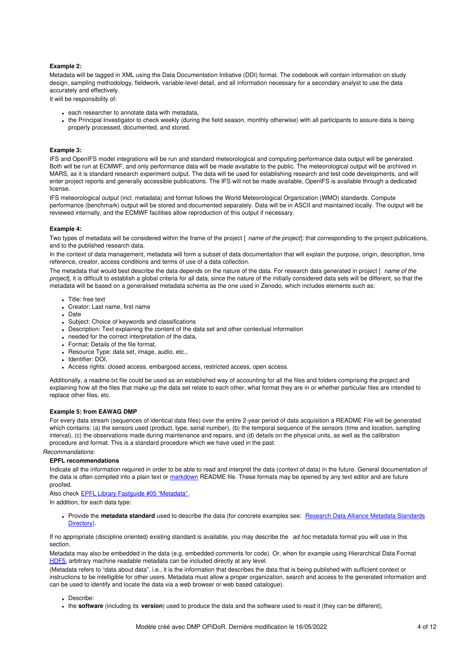### **Example 2:**

Metadata will be tagged in XML using the Data Documentation Initiative (DDI) format. The codebook will contain information on study design, sampling methodology, fieldwork, variable-level detail, and all information necessary for a secondary analyst to use the data accurately and effectively.

It will be responsibility of:

- each researcher to annotate data with metadata,
- the Principal Investigator to check weekly (during the field season, monthly otherwise) with all participants to assure data is being properly processed, documented, and stored.

### **Example 3:**

IFS and OpenIFS model integrations will be run and standard meteorological and computing performance data output will be generated. Both will be run at ECMWF, and only performance data will be made available to the public. The meteorological output will be archived in MARS, as it is standard research experiment output. The data will be used for establishing research and test code developments, and will enter project reports and generally accessible publications. The IFS will not be made available, OpenIFS is available through a dedicated license.

IFS meteorological output (incl. metadata) and format follows the World Meteorological Organization (WMO) standards. Compute performance (benchmark) output will be stored and documented separately. Data will be in ASCII and maintained locally. The output will be reviewed internally, and the ECMWF facilities allow reproduction of this output if necessary.

#### **Example 4:**

Two types of metadata will be considered within the frame of the project [ *name of the project*]: that corresponding to the project publications, and to the published research data.

In the context of data management, metadata will form a subset of data documentation that will explain the purpose, origin, description, time reference, creator, access conditions and terms of use of a data collection.

The metadata that would best describe the data depends on the nature of the data. For research data generated in project [ *name of the project*], it is difficult to establish a global criteria for all data, since the nature of the initially considered data sets will be different, so that the metadata will be based on a generalised metadata schema as the one used in Zenodo, which includes elements such as:

- Title: free text
- Creator: Last name, first name
- Date
- Subject: Choice of keywords and classifications
- Description: Text explaining the content of the data set and other contextual information
- needed for the correct interpretation of the data,
- Format: Details of the file format,
- Resource Type: data set, image, audio, etc.,
- Identifier: DOI,
- Access rights: closed access, embargoed access, restricted access, open access.

Additionally, a readme.txt file could be used as an established way of accounting for all the files and folders comprising the project and explaining how all the files that make up the data set relate to each other, what format they are in or whether particular files are intended to replace other files, etc.

#### **Example 5: from EAWAG DMP**

For every data stream (sequences of identical data files) over the entire 2-year period of data acquisition a README File will be generated which contains: (a) the sensors used (product, type, serial number), (b) the temporal sequence of the sensors (time and location, sampling interval), (c) the observations made during maintenance and repairs, and (d) details on the physical units, as well as the calibration procedure and format. This is a standard procedure which we have used in the past.

#### *Recommandations*:

#### **EPFL recommendations**

Indicate all the information required in order to be able to read and interpret the data (context of data) in the future. General documentation of the data is often compiled into a plain text or [markdown](https://en.wikipedia.org/wiki/Markdown) README file. These formats may be opened by any text editor and are future proofed.

Also check EPFL Library Fastguide #05 ["Metadata"](https://infoscience.epfl.ch/record/265349?&ln=en).

In addition, for each data type:

• Provide the **metadata standard** used to describe the data (for concrete examples see: Research Data Alliance Metadata [Standards](http://rd-alliance.github.io/metadata-directory/standards/) Directory).

If no appropriate (discipline oriented) existing standard is available, you may describe the *ad hoc* metadata format you will use in this section.

Metadata may also be embedded in the data (e.g. embedded comments for code). Or, when for example using Hierarchical Data Format [HDF5](https://portal.hdfgroup.org/display/HDF5/HDF5), arbitrary machine readable metadata can be included directly at any level.

(Metadata refers to "data about data", i.e., it is the information that describes the data that is being published with sufficient context or instructions to be intelligible for other users. Metadata must allow a proper organization, search and access to the generated information and can be used to identify and locate the data via a web browser or web based catalogue).

- Describe:
- the **software** (including its **version**) used to produce the data and the software used to read it (they can be different),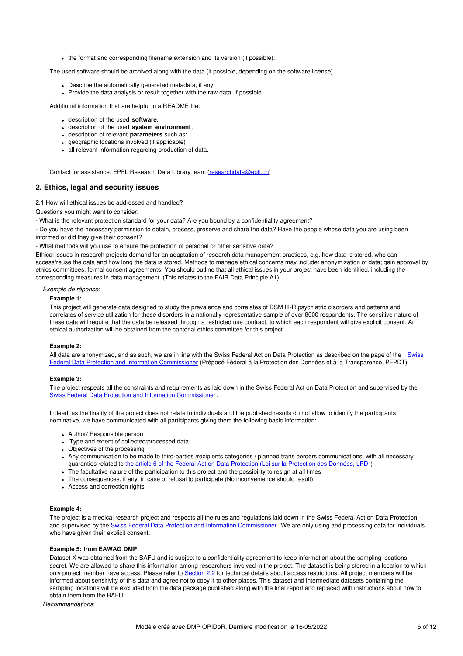• the format and corresponding filename extension and its version (if possible).

The used software should be archived along with the data (if possible, depending on the software license).

- Describe the automatically generated metadata, if any.
- Provide the data analysis or result together with the raw data, if possible.

Additional information that are helpful in a README file:

- description of the used **software**,
- description of the used **system environment**,
- description of relevant **parameters** such as:
- geographic locations involved (if applicable)
- all relevant information regarding production of data.

Contact for assistance: EPFL Research Data Library team [\(researchdata@epfl.ch](mailto:researchdata@epfl.ch))

# **2. Ethics, legal and security issues**

#### 2.1 How will ethical issues be addressed and handled?

Questions you might want to consider:

- What is the relevant protection standard for your data? Are you bound by a confidentiality agreement?

- Do you have the necessary permission to obtain, process, preserve and share the data? Have the people whose data you are using been informed or did they give their consent?

- What methods will you use to ensure the protection of personal or other sensitive data?

Ethical issues in research projects demand for an adaptation of research data management practices, e.g. how data is stored, who can access/reuse the data and how long the data is stored. Methods to manage ethical concerns may include: anonymization of data; gain approval by ethics committees; formal consent agreements. You should outline that all ethical issues in your project have been identified, including the corresponding measures in data management. (This relates to the FAIR Data Principle A1)

#### *Exemple de réponse*:

#### **Example 1:**

This project will generate data designed to study the prevalence and correlates of DSM III-R psychiatric disorders and patterns and correlates of service utilization for these disorders in a nationally representative sample of over 8000 respondents. The sensitive nature of these data will require that the data be released through a restricted use contract, to which each respondent will give explicit consent. An ethical authorization will be obtained from the cantonal ethics committee for this project.

### **Example 2:**

All data are anonymized, and as such, we are in line with the Swiss Federal Act on Data Protection as described on the page of the Swiss Federal Data Protection and Information Commissioner (Préposé Fédéral à la Protection des Données et à la [Transparence,](https://www.edoeb.admin.ch/edoeb/en/home.html) PFPDT).

#### **Example 3:**

The project respects all the constraints and requirements as laid down in the Swiss Federal Act on Data Protection and supervised by the Swiss Federal Data Protection and Information [Commissioner](https://www.edoeb.admin.ch/edoeb/en/home.html).

Indeed, as the finality of the project does not relate to individuals and the published results do not allow to identify the participants nominative, we have communicated with all participants giving them the following basic information:

- Author/ Responsible person
- IType and extent of collected/processed data
- Objectives of the processing
- Any communication to be made to third-parties /recipients categories / planned trans borders communications, with all necessary guaranties related to the article 6 of the Federal Act on Data [Protection](https://www.admin.ch/opc/fr/classified-compilation/19920153/index.html#a6) (Loi sur la Protection des Données, LPD )
- The facultative nature of the participation to this project and the possibility to resign at all times
- The consequences, if any, in case of refusal to participate (No inconvenience should result)
- Access and correction rights

### **Example 4:**

The project is a medical research project and respects all the rules and regulations laid down in the Swiss Federal Act on Data Protection and supervised by the Swiss Federal Data Protection and Information [Commissioner](https://www.edoeb.admin.ch/edoeb/en/home.html). We are only using and processing data for individuals who have given their explicit consent.

# **Example 5: from EAWAG DMP**

Dataset X was obtained from the BAFU and is subject to a confidentiality agreement to keep information about the sampling locations secret. We are allowed to share this information among researchers involved in the project. The dataset is being stored in a location to which only project member have access. Please refer to [Section](https://opendata.eawag.ch/dmp/Eawag_SNSF_DMP_Guide.html#section2-2) 2.2 for technical details about access restrictions. All project members will be informed about sensitivity of this data and agree not to copy it to other places. This dataset and intermediate datasets containing the sampling locations will be excluded from the data package published along with the final report and replaced with instructions about how to obtain them from the BAFU.

*Recommandations*: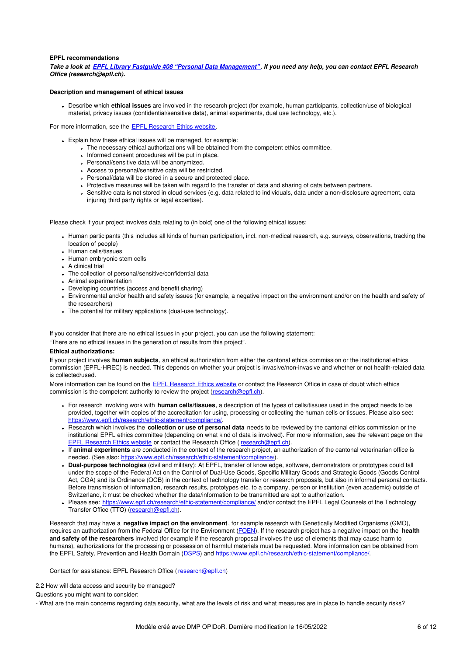### **EPFL recommendations**

Take a look at EPFL Library Fastguide #08 "Personal Data [Management"](https://infoscience.epfl.ch/record/265349?&ln=en). If you need any help, you can contact EPFL Research *Office (research@epfl.ch).*

### **Description and management of ethical issues**

Describe which **ethical issues** are involved in the research project (for example, human participants, collection/use of biological material, privacy issues (confidential/sensitive data), animal experiments, dual use technology, etc.).

For more information, see the EPFL [Research](https://www.epfl.ch/research/ethic-statement/compliance/) Ethics website.

- Explain how these ethical issues will be managed, for example:
	- The necessary ethical authorizations will be obtained from the competent ethics committee.
	- . Informed consent procedures will be put in place.
	- Personal/sensitive data will be anonymized.
	- Access to personal/sensitive data will be restricted.
	- Personal/data will be stored in a secure and protected place.
	- Protective measures will be taken with regard to the transfer of data and sharing of data between partners.
	- Sensitive data is not stored in cloud services (e.g. data related to individuals, data under a non-disclosure agreement, data injuring third party rights or legal expertise).

Please check if your project involves data relating to (in bold) one of the following ethical issues:

- Human participants (this includes all kinds of human participation, incl. non-medical research, e.g. surveys, observations, tracking the location of people)
- Human cells/tissues
- Human embryonic stem cells
- A clinical trial
- The collection of personal/sensitive/confidential data
- Animal experimentation
- Developing countries (access and benefit sharing)
- Environmental and/or health and safety issues (for example, a negative impact on the environment and/or on the health and safety of the researchers)
- The potential for military applications (dual-use technology).

If you consider that there are no ethical issues in your project, you can use the following statement:

"There are no ethical issues in the generation of results from this project".

#### **Ethical authorizations:**

If your project involves **human subjects**, an ethical authorization from either the cantonal ethics commission or the institutional ethics commission (EPFL-HREC) is needed. This depends on whether your project is invasive/non-invasive and whether or not health-related data is collected/used.

More information can be found on the EPFL [Research](https://www.epfl.ch/research/ethic-statement/compliance/) Ethics website or contact the Research Office in case of doubt which ethics commission is the competent authority to review the project [\(research@epfl.ch](mailto:research@epfl.ch)).

- For research involving work with **human cells/tissues**, a description of the types of cells/tissues used in the project needs to be provided, together with copies of the accreditation for using, processing or collecting the human cells or tissues. Please also see: <https://www.epfl.ch/research/ethic-statement/compliance/>.
- Research which involves the **collection or use of personal data** needs to be reviewed by the cantonal ethics commission or the institutional EPFL ethics committee (depending on what kind of data is involved). For more information, see the relevant page on the EPFL [Research](https://www.epfl.ch/research/ethic-statement/compliance/) Ethics website or contact the Research Office ([research@epfl.ch](mailto:research@epfl.ch)).
- If **animal experiments** are conducted in the context of the research project, an authorization of the cantonal veterinarian office is needed. (See also: <https://www.epfl.ch/research/ethic-statement/compliance/>).
- **Dual-purpose technologies** (civil and military): At EPFL, transfer of knowledge, software, demonstrators or prototypes could fall under the scope of the Federal Act on the Control of Dual-Use Goods, Specific Military Goods and Strategic Goods (Goods Control Act, CGA) and its Ordinance (OCB) in the context of technology transfer or research proposals, but also in informal personal contacts. Before transmission of information, research results, prototypes etc. to a company, person or institution (even academic) outside of Switzerland, it must be checked whether the data/information to be transmitted are apt to authorization.
- Please see: <https://www.epfl.ch/research/ethic-statement/compliance/> and/or contact the EPFL Legal Counsels of the Technology Transfer Office (TTO) [\(research@epfl.ch](mailto:research@epfl.ch)).

Research that may have a **negative impact on the environment**, for example research with Genetically Modified Organisms (GMO), requires an authorization from the Federal Office for the Environment [\(FOEN](http://www.bafu.admin.ch/?lang=en)). If the research project has a negative impact on the **health and safety of the researchers** involved (for example if the research proposal involves the use of elements that may cause harm to humans), authorizations for the processing or possession of harmful materials must be requested. More information can be obtained from the EPFL Safety, Prevention and Health Domain ([DSPS](https://www.epfl.ch/campus/security-safety/en/home/)) and <https://www.epfl.ch/research/ethic-statement/compliance/>.

Contact for assistance: EPFL Research Office ( [research@epfl.ch](mailto:research@epfl.ch))

2.2 How will data access and security be managed?

Questions you might want to consider:

- What are the main concerns regarding data security, what are the levels of risk and what measures are in place to handle security risks?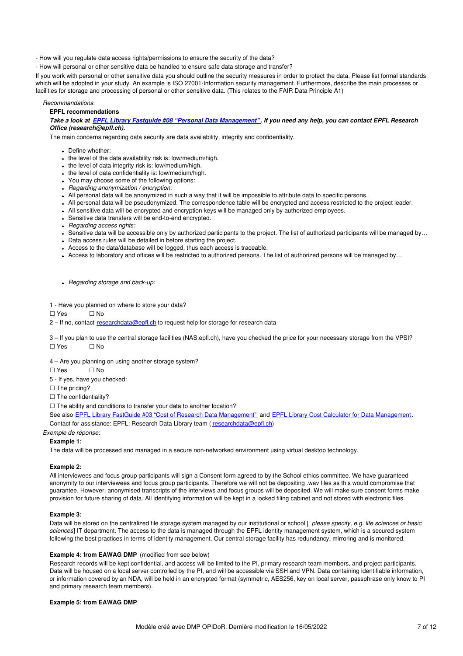- How will you regulate data access rights/permissions to ensure the security of the data?

- How will personal or other sensitive data be handled to ensure safe data storage and transfer?

If you work with personal or other sensitive data you should outline the security measures in order to protect the data. Please list formal standards which will be adopted in your study. An example is ISO 27001-Information security management. Furthermore, describe the main processes or facilities for storage and processing of personal or other sensitive data. (This relates to the FAIR Data Principle A1)

#### *Recommandations*:

#### **EPFL recommendations**

### Take a look at EPFL Library Fastguide #08 "Personal Data [Management"](https://infoscience.epfl.ch/record/265349?&ln=en). If you need any help, you can contact EPFL Research *Office (research@epfl.ch).*

The main concerns regarding data security are data availability, integrity and confidentiality.

- Define whether:
- the level of the data availability risk is: low/medium/high.
- . the level of data integrity risk is: low/medium/high.
- the level of data confidentiality is: low/medium/high.
- You may choose some of the following options:
- *Regarding anonymization / encryption:*
- All personal data will be anonymized in such a way that it will be impossible to attribute data to specific persons.
- All personal data will be pseudonymized. The correspondence table will be encrypted and access restricted to the project leader.
- All sensitive data will be encrypted and encryption keys will be managed only by authorized employees.
- Sensitive data transfers will be end-to-end encrypted.
- *Regarding access rights:*
- Sensitive data will be accessible only by authorized participants to the project. The list of authorized participants will be managed by...
- Data access rules will be detailed in before starting the project.
- Access to the data/database will be logged, thus each access is traceable.
- Access to laboratory and offices will be restricted to authorized persons. The list of authorized persons will be managed by…

*Regarding storage and back-up:*

1 - Have you planned on where to store your data?

 $\Box$  Ves  $\Box$  No

2 – If no, contact [researchdata@epfl.ch](mailto:researchdata@epfl.ch) to request help for storage for research data

3 – If you plan to use the central storage facilities (NAS.epfl.ch), have you checked the price for your necessary storage from the VPSI? ☐ Yes ☐ No

4 – Are you planning on using another storage system?

 $\Box$  Yes  $\Box$  No

- 5 If yes, have you checked:
- □ The pricing?
- □ The confidentiality?

□ The ability and conditions to transfer your data to another location?

See also EPFL Library FastGuide #03 "Cost of Research Data [Management"](https://infoscience.epfl.ch/record/265349?&ln=en) and EPFL Library Cost Calculator for Data [Management](https://rdmepfl.github.io/costcalc/). Contact for assistance: EPFL: Research Data Library team ( [researchdata@epfl.ch](mailto:researchdata@epfl.ch))

#### *Exemple de réponse*:

## **Example 1:**

The data will be processed and managed in a secure non-networked environment using virtual desktop technology.

#### **Example 2:**

All interviewees and focus group participants will sign a Consent form agreed to by the School ethics committee. We have guaranteed anonymity to our interviewees and focus group participants. Therefore we will not be depositing .wav files as this would compromise that guarantee. However, anonymised transcripts of the interviews and focus groups will be deposited. We will make sure consent forms make provision for future sharing of data. All identifying information will be kept in a locked filing cabinet and not stored with electronic files.

### **Example 3:**

Data will be stored on the centralized file storage system managed by our institutional or school [ *please specify, e.g. life sciences or basic sciences*] IT department. The access to the data is managed through the EPFL identity management system, which is a secured system following the best practices in terms of identity management. Our central storage facility has redundancy, mirroring and is monitored.

#### **Example 4: from EAWAG DMP** (modified from see below)

Research records will be kept confidential, and access will be limited to the PI, primary research team members, and project participants. Data will be housed on a local server controlled by the PI, and will be accessible via SSH and VPN. Data containing identifiable information, or information covered by an NDA, will be held in an encrypted format (symmetric, AES256, key on local server, passphrase only know to PI and primary research team members).

### **Example 5: from EAWAG DMP**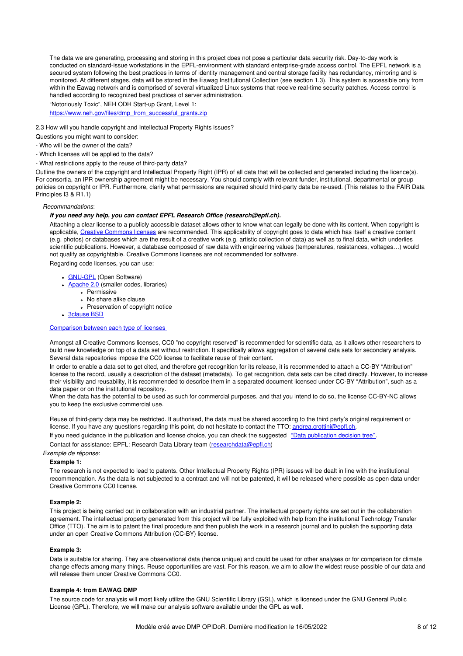The data we are generating, processing and storing in this project does not pose a particular data security risk. Day-to-day work is conducted on standard-issue workstations in the EPFL-environment with standard enterprise-grade access control. The EPFL network is a secured system following the best practices in terms of identity management and central storage facility has redundancy, mirroring and is monitored. At different stages, data will be stored in the Eawag Institutional Collection (see section 1.3). This system is accessible only from within the Eawag network and is comprised of several virtualized Linux systems that receive real-time security patches. Access control is handled according to recognized best practices of server administration.

"Notoriously Toxic", NEH ODH Start-up Grant, Level 1:

[https://www.neh.gov/files/dmp\\_from\\_successful\\_grants.zip](https://www.neh.gov/files/dmp_from_successful_grants.zip)

2.3 How will you handle copyright and Intellectual Property Rights issues?

Questions you might want to consider:

- Who will be the owner of the data?

- Which licenses will be applied to the data?

- What restrictions apply to the reuse of third-party data?

Outline the owners of the copyright and Intellectual Property Right (IPR) of all data that will be collected and generated including the licence(s). For consortia, an IPR ownership agreement might be necessary. You should comply with relevant funder, institutional, departmental or group policies on copyright or IPR. Furthermore, clarify what permissions are required should third-party data be re-used. (This relates to the FAIR Data Principles I3 & R1.1)

### *Recommandations*:

#### *If you need any help, you can contact EPFL Research Office (research@epfl.ch).*

Attaching a clear license to a publicly accessible dataset allows other to know what can legally be done with its content. When copyright is applicable, Creative [Commons](https://creativecommons.org/) licenses are recommended. This applicability of copyright goes to data which has itself a creative content (e.g. photos) or databases which are the result of a creative work (e.g. artistic collection of data) as well as to final data, which underlies scientific publications. However, a database composed of raw data with engineering values (temperatures, resistances, voltages…) would not qualify as copyrightable. Creative Commons licenses are not recommended for software.

Regarding code licenses, you can use:

- [GNU-GPL](https://www.gnu.org/licenses/gpl-3.0.fr.html) (Open Software)
- **[Apache](http://www.apache.org/licenses/) 2.0** (smaller codes, libraries)
	- $\overline{\text{Permissive}}$
	- No share alike clause Preservation of copyright notice
	-

• [3clause](https://opensource.org/licenses/BSD-3-Clause) BSD

[Comparison](https://snyk.io/blog/mit-apache-bsd-fairest-of-them-all) between each type of licenses

Amongst all Creative Commons licenses, CC0 "no copyright reserved" is recommended for scientific data, as it allows other researchers to build new knowledge on top of a data set without restriction. It specifically allows aggregation of several data sets for secondary analysis. Several data repositories impose the CC0 license to facilitate reuse of their content.

In order to enable a data set to get cited, and therefore get recognition for its release, it is recommended to attach a CC-BY "Attribution" license to the record, usually a description of the dataset (metadata). To get recognition, data sets can be cited directly. However, to increase their visibility and reusability, it is recommended to describe them in a separated document licensed under CC-BY "Attribution", such as a data paper or on the institutional repository.

When the data has the potential to be used as such for commercial purposes, and that you intend to do so, the license CC-BY-NC allows you to keep the exclusive commercial use.

Reuse of third-party data may be restricted. If authorised, the data must be shared according to the third party's original requirement or license. If you have any questions regarding this point, do not hesitate to contact the TTO: [andrea.crottini@epfl.ch](mailto:andrea.crottini@epfl.ch).

If you need guidance in the publication and license choice, you can check the suggested "Data [publication](https://infoscience.epfl.ch/record/230281) decision tree".

Contact for assistance: EPFL: Research Data Library team ([researchdata@epfl.ch](mailto:researchdata@epfl.ch))

*Exemple de réponse*:

# **Example 1:**

The research is not expected to lead to patents. Other Intellectual Property Rights (IPR) issues will be dealt in line with the institutional recommendation. As the data is not subjected to a contract and will not be patented, it will be released where possible as open data under Creative Commons CC0 license.

### **Example 2:**

This project is being carried out in collaboration with an industrial partner. The intellectual property rights are set out in the collaboration agreement. The intellectual property generated from this project will be fully exploited with help from the institutional Technology Transfer Office (TTO). The aim is to patent the final procedure and then publish the work in a research journal and to publish the supporting data under an open Creative Commons Attribution (CC-BY) license.

#### **Example 3:**

Data is suitable for sharing. They are observational data (hence unique) and could be used for other analyses or for comparison for climate change effects among many things. Reuse opportunities are vast. For this reason, we aim to allow the widest reuse possible of our data and will release them under Creative Commons CC0.

#### **Example 4: from EAWAG DMP**

The source code for analysis will most likely utilize the GNU Scientific Library (GSL), which is licensed under the GNU General Public License (GPL). Therefore, we will make our analysis software available under the GPL as well.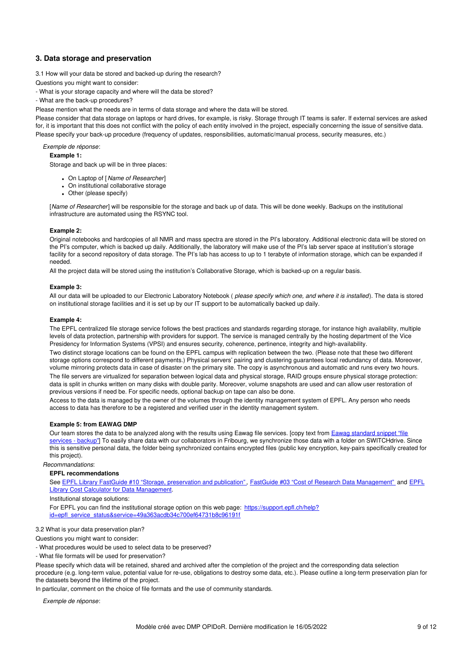# **3. Data storage and preservation**

3.1 How will your data be stored and backed-up during the research?

Questions you might want to consider:

- What is your storage capacity and where will the data be stored?

- What are the back-up procedures?

Please mention what the needs are in terms of data storage and where the data will be stored.

Please consider that data storage on laptops or hard drives, for example, is risky. Storage through IT teams is safer. If external services are asked for, it is important that this does not conflict with the policy of each entity involved in the project, especially concerning the issue of sensitive data. Please specify your back-up procedure (frequency of updates, responsibilities, automatic/manual process, security measures, etc.)

*Exemple de réponse*:

**Example 1:**

Storage and back up will be in three places:

- On Laptop of [*Name of Researcher*]
- On institutional collaborative storage
- Other (please specify)

[*Name of Researcher*] will be responsible for the storage and back up of data. This will be done weekly. Backups on the institutional infrastructure are automated using the RSYNC tool.

## **Example 2:**

Original notebooks and hardcopies of all NMR and mass spectra are stored in the PI's laboratory. Additional electronic data will be stored on the PI's computer, which is backed up daily. Additionally, the laboratory will make use of the PI's lab server space at institution's storage facility for a second repository of data storage. The PI's lab has access to up to 1 terabyte of information storage, which can be expanded if needed.

All the project data will be stored using the institution's Collaborative Storage, which is backed-up on a regular basis.

# **Example 3:**

All our data will be uploaded to our Electronic Laboratory Notebook ( *please specify which one, and where it is installed*). The data is stored on institutional storage facilities and it is set up by our IT support to be automatically backed up daily.

# **Example 4:**

The EPFL centralized file storage service follows the best practices and standards regarding storage, for instance high availability, multiple levels of data protection, partnership with providers for support. The service is managed centrally by the hosting department of the Vice Presidency for Information Systems (VPSI) and ensures security, coherence, pertinence, integrity and high-availability.

Two distinct storage locations can be found on the EPFL campus with replication between the two. (Please note that these two different storage options correspond to different payments.) Physical servers' pairing and clustering guarantees local redundancy of data. Moreover, volume mirroring protects data in case of disaster on the primary site. The copy is asynchronous and automatic and runs every two hours. The file servers are virtualized for separation between logical data and physical storage, RAID groups ensure physical storage protection: data is split in chunks written on many disks with double parity. Moreover, volume snapshots are used and can allow user restoration of previous versions if need be. For specific needs, optional backup on tape can also be done.

Access to the data is managed by the owner of the volumes through the identity management system of EPFL. Any person who needs access to data has therefore to be a registered and verified user in the identity management system.

### **Example 5: from EAWAG DMP**

Our team stores the data to be analyzed along with the results using Eawag file services. [copy text from Eawag standard snippet "file services - backup"] To easily share data with our collaborators in Fribourg, we synchronize those data with a folder on [SWITCHdrive.](https://opendata.eawag.ch/dmp/Eawag_SNSF_DMP_Guide.html#eawag-file-services) Since this is sensitive personal data, the folder being synchronized contains encrypted files (public key encryption, key-pairs specifically created for this project).

*Recommandations*:

### **EPFL recommendations**

See EPFL Library FastGuide #10 "Storage, [preservation](https://infoscience.epfl.ch/record/265349?&ln=en) and publication", FastGuide #03 "Cost of Research Data [Management"](https://infoscience.epfl.ch/record/265349?&ln=en) and EPFL Library Cost Calculator for Data Management.

Institutional storage solutions:

For EPFL you can find the institutional storage option on this web page: https://support.epfl.ch/help? [id=epfl\\_service\\_status&service=49a363acdb34c700ef64731b8c96191f](https://support.epfl.ch/help?id=epfl_service_status&service=49a363acdb34c700ef64731b8c96191f)

### 3.2 What is your data preservation plan?

Questions you might want to consider:

- What procedures would be used to select data to be preserved?

- What file formats will be used for preservation?

Please specify which data will be retained, shared and archived after the completion of the project and the corresponding data selection procedure (e.g. long-term value, potential value for re-use, obligations to destroy some data, etc.). Please outline a long-term preservation plan for the datasets beyond the lifetime of the project.

In particular, comment on the choice of file formats and the use of community standards.

*Exemple de réponse*: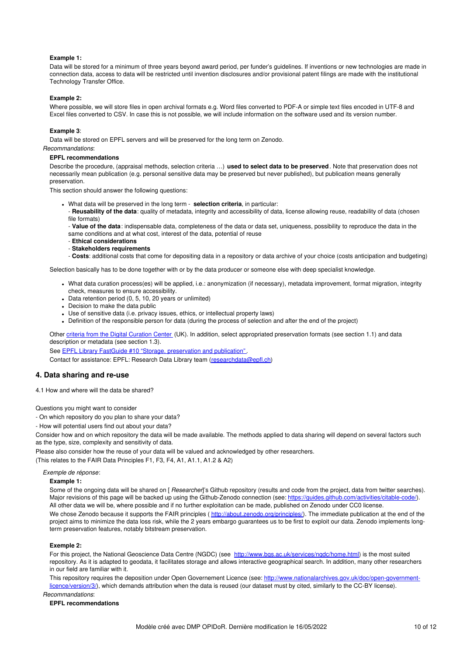### **Example 1:**

Data will be stored for a minimum of three years beyond award period, per funder's guidelines. If inventions or new technologies are made in connection data, access to data will be restricted until invention disclosures and/or provisional patent filings are made with the institutional Technology Transfer Office.

### **Example 2:**

Where possible, we will store files in open archival formats e.g. Word files converted to PDF-A or simple text files encoded in UTF-8 and Excel files converted to CSV. In case this is not possible, we will include information on the software used and its version number.

## **Example 3**:

Data will be stored on EPFL servers and will be preserved for the long term on Zenodo.

*Recommandations*:

### **EPFL recommendations**

Describe the procedure, (appraisal methods, selection criteria …) **used to select data to be preserved**. Note that preservation does not necessarily mean publication (e.g. personal sensitive data may be preserved but never published), but publication means generally preservation.

This section should answer the following questions:

- What data will be preserved in the long term **selection criteria**, in particular:
- **Reusability of the data**: quality of metadata, integrity and accessibility of data, license allowing reuse, readability of data (chosen file formats)
- **Value of the data**: indispensable data, completeness of the data or data set, uniqueness, possibility to reproduce the data in the same conditions and at what cost, interest of the data, potential of reuse
- **Ethical considerations**
- **Stakeholders requirements**

- **Costs**: additional costs that come for depositing data in a repository or data archive of your choice (costs anticipation and budgeting)

Selection basically has to be done together with or by the data producer or someone else with deep specialist knowledge.

- What data curation process(es) will be applied, i.e.: anonymization (if necessary), metadata improvement, format migration, integrity check, measures to ensure accessibility.
- Data retention period (0, 5, 10, 20 years or unlimited)
- Decision to make the data public
- Use of sensitive data (i.e. privacy issues, ethics, or intellectual property laws)
- Definition of the responsible person for data (during the process of selection and after the end of the project)

Other criteria from the Digital [Curation](http://www.dcc.ac.uk/resources/how-guides/appraise-select-data) Center (UK). In addition, select appropriated preservation formats (see section 1.1) and data description or metadata (see section 1.3).

See **EPFL Library FastGuide #10 "Storage, [preservation](https://infoscience.epfl.ch/record/265349?&ln=en) and publication"**.

Contact for assistance: EPFL: Research Data Library team ([researchdata@epfl.ch](mailto:researchdata@epfl.ch))

# **4. Data sharing and re-use**

4.1 How and where will the data be shared?

Questions you might want to consider

- On which repository do you plan to share your data?

- How will potential users find out about your data?

Consider how and on which repository the data will be made available. The methods applied to data sharing will depend on several factors such as the type, size, complexity and sensitivity of data.

Please also consider how the reuse of your data will be valued and acknowledged by other researchers.

(This relates to the FAIR Data Principles F1, F3, F4, A1, A1.1, A1.2 & A2)

## *Exemple de réponse*:

# **Example 1:**

Some of the ongoing data will be shared on [*Researcher*]'s Github repository (results and code from the project, data from twitter searches). Major revisions of this page will be backed up using the Github-Zenodo connection (see: <https://guides.github.com/activities/citable-code/>). All other data we will be, where possible and if no further exploitation can be made, published on Zenodo under CC0 license.

We chose Zenodo because it supports the FAIR principles (<http://about.zenodo.org/principles/>). The immediate publication at the end of the project aims to minimize the data loss risk, while the 2 years embargo guarantees us to be first to exploit our data. Zenodo implements longterm preservation features, notably bitstream preservation.

# **Exemple 2:**

For this project, the National Geoscience Data Centre (NGDC) (see <http://www.bgs.ac.uk/services/ngdc/home.html>) is the most suited repository. As it is adapted to geodata, it facilitates storage and allows interactive geographical search. In addition, many other researchers in our field are familiar with it.

This repository requires the deposition under Open Governement Licence (see: [http://www.nationalarchives.gov.uk/doc/open-government](http://www.nationalarchives.gov.uk/doc/open-government-licence/version/3/)licence/version/3/), which demands attribution when the data is reused (our dataset must by cited, similarly to the CC-BY license).

*Recommandations*:

#### **EPFL recommendations**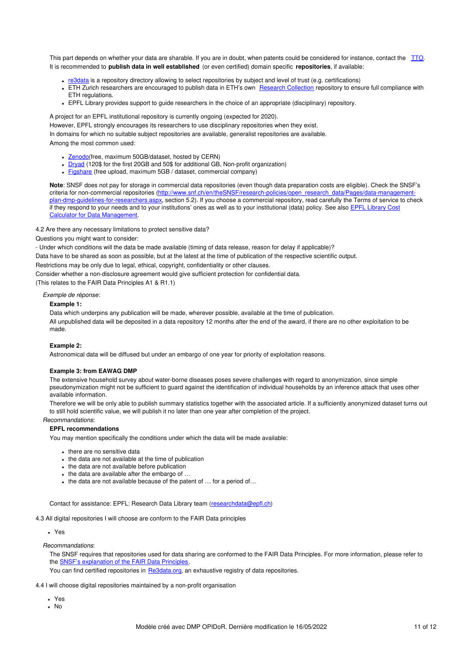This part depends on whether your data are sharable. If you are in doubt, when patents could be considered for instance, contact the [TTO](https://tto.epfl.ch/). It is recommended to **publish data in well established** (or even certified) domain specific **repositories**, if available:

- [re3data](http://www.re3data.org/browse/by-subject/) is a repository directory allowing to select repositories by subject and level of trust (e.g. certifications)
- ETH Zurich researchers are encouraged to publish data in ETH's own Research [Collection](https://www.research-collection.ethz.ch/) repository to ensure full compliance with ETH regulations.
- EPFL Library provides support to guide researchers in the choice of an appropriate (disciplinary) repository.

A project for an EPFL institutional repository is currently ongoing (expected for 2020).

However, EPFL strongly encourages its researchers to use disciplinary repositories when they exist.

In domains for which no suitable subject repositories are available, generalist repositories are available.

Among the most common used:

- [Zenodo](https://zenodo.org/)(free, maximum 50GB/dataset, hosted by CERN)
- [Dryad](http://datadryad.org/) (120\$ for the first 20GB and 50\$ for additional GB, Non-profit organization)
- [Figshare](https://figshare.com/) (free upload, maximum 5GB / dataset, commercial company)

**Note**: SNSF does not pay for storage in commercial data repositories (even though data preparation costs are eligible). Check the SNSF's criteria for non-commercial repositories [\(http://www.snf.ch/en/theSNSF/research-policies/open\\_research\\_data/Pages/data-management](http://www.snf.ch/en/theSNSF/research-policies/open_research_data/Pages/data-management-plan-dmp-guidelines-for-researchers.aspx)plan-dmp-guidelines-for-researchers.aspx, section 5.2). If you choose a commercial repository, read carefully the Terms of service to check if they respond to your needs and to your institutions' ones as well as to your institutional (data) policy. See also EPFL Library Cost Calculator for Data [Management.](https://rdmepfl.github.io/costcalc/)

4.2 Are there any necessary limitations to protect sensitive data?

Questions you might want to consider:

- Under which conditions will the data be made available (timing of data release, reason for delay if applicable)?

Data have to be shared as soon as possible, but at the latest at the time of publication of the respective scientific output.

Restrictions may be only due to legal, ethical, copyright, confidentiality or other clauses.

Consider whether a non-disclosure agreement would give sufficient protection for confidential data.

(This relates to the FAIR Data Principles A1 & R1.1)

## *Exemple de réponse*:

## **Example 1:**

Data which underpins any publication will be made, wherever possible, available at the time of publication. All unpublished data will be deposited in a data repository 12 months after the end of the award, if there are no other exploitation to be made.

### **Example 2:**

Astronomical data will be diffused but under an embargo of one year for priority of exploitation reasons.

# **Example 3: from EAWAG DMP**

The extensive household survey about water-borne diseases poses severe challenges with regard to anonymization, since simple pseudonymization might not be sufficient to guard against the identification of individual households by an inference attack that uses other available information.

Therefore we will be only able to publish summary statistics together with the associated article. If a sufficiently anonymized dataset turns out to still hold scientific value, we will publish it no later than one year after completion of the project.

*Recommandations*:

# **EPFL recommendations**

You may mention specifically the conditions under which the data will be made available:

- there are no sensitive data
- the data are not available at the time of publication
- the data are not available before publication
- the data are available after the embargo of ...
- the data are not available because of the patent of … for a period of…

Contact for assistance: EPFL: Research Data Library team ([researchdata@epfl.ch](mailto:researchdata@epfl.ch))

4.3 All digital repositories I will choose are conform to the FAIR Data principles

## Yes

### *Recommandations*:

The SNSF requires that repositories used for data sharing are conformed to the FAIR Data Principles. For more information, please refer to the SNSF's [explanation](http://www.snf.ch/SiteCollectionDocuments/FAIR_principles_translation_SNSF_logo.pdf) of the FAIR Data Principles .

You can find certified repositories in [Re3data.org](http://www.re3data.org/%20), an exhaustive registry of data repositories.

4.4 I will choose digital repositories maintained by a non-profit organisation

- Yes
- $\blacksquare$  No